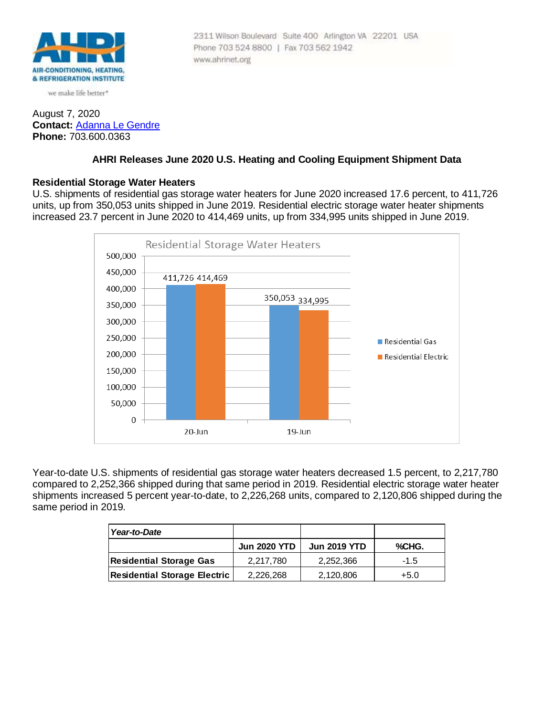

we make life better\*

### August 7, 2020 **Contact:** [Adanna Le Gendre](mailto:AleGendre@ahrinet.org) **Phone:** 703.600.0363

#### 2311 Wilson Boulevard Suite 400 Arlington VA 22201 USA Phone 703 524 8800 | Fax 703 562 1942 www.ahrinet.org

# **AHRI Releases June 2020 U.S. Heating and Cooling Equipment Shipment Data**

### **Residential Storage Water Heaters**

U.S. shipments of residential gas storage water heaters for June 2020 increased 17.6 percent, to 411,726 units, up from 350,053 units shipped in June 2019. Residential electric storage water heater shipments increased 23.7 percent in June 2020 to 414,469 units, up from 334,995 units shipped in June 2019.



Year-to-date U.S. shipments of residential gas storage water heaters decreased 1.5 percent, to 2,217,780 compared to 2,252,366 shipped during that same period in 2019. Residential electric storage water heater shipments increased 5 percent year-to-date, to 2,226,268 units, compared to 2,120,806 shipped during the same period in 2019.

| Year-to-Date                        |                     |                     |        |
|-------------------------------------|---------------------|---------------------|--------|
|                                     | <b>Jun 2020 YTD</b> | <b>Jun 2019 YTD</b> | %CHG.  |
| <b>Residential Storage Gas</b>      | 2.217.780           | 2,252,366           | $-1.5$ |
| <b>Residential Storage Electric</b> | 2,226,268           | 2,120,806           | $+5.0$ |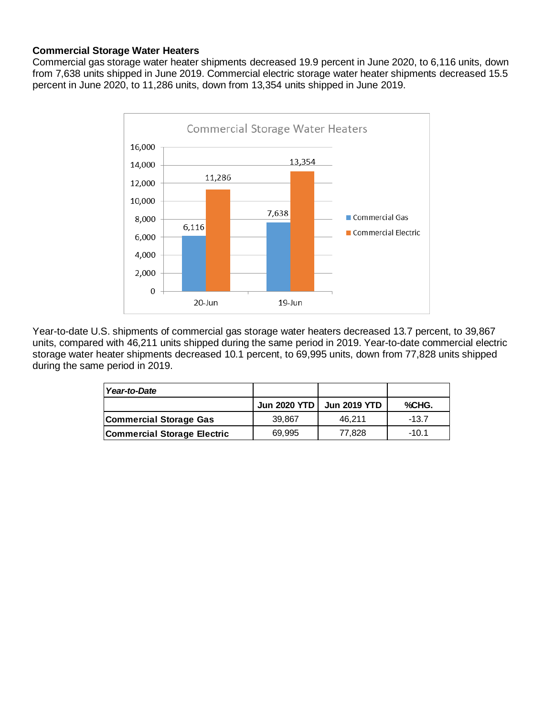# **Commercial Storage Water Heaters**

Commercial gas storage water heater shipments decreased 19.9 percent in June 2020, to 6,116 units, down from 7,638 units shipped in June 2019. Commercial electric storage water heater shipments decreased 15.5 percent in June 2020, to 11,286 units, down from 13,354 units shipped in June 2019.



Year-to-date U.S. shipments of commercial gas storage water heaters decreased 13.7 percent, to 39,867 units, compared with 46,211 units shipped during the same period in 2019. Year-to-date commercial electric storage water heater shipments decreased 10.1 percent, to 69,995 units, down from 77,828 units shipped during the same period in 2019.

| Year-to-Date                       |        |                           |         |
|------------------------------------|--------|---------------------------|---------|
|                                    |        | Jun 2020 YTD Jun 2019 YTD | %CHG.   |
| Commercial Storage Gas             | 39.867 | 46.211                    | $-13.7$ |
| <b>Commercial Storage Electric</b> | 69,995 | 77,828                    | $-10.1$ |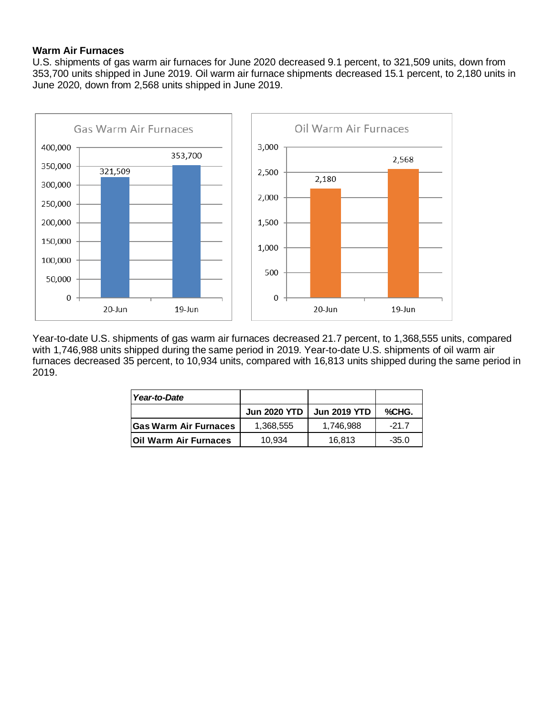# **Warm Air Furnaces**

U.S. shipments of gas warm air furnaces for June 2020 decreased 9.1 percent, to 321,509 units, down from 353,700 units shipped in June 2019. Oil warm air furnace shipments decreased 15.1 percent, to 2,180 units in June 2020, down from 2,568 units shipped in June 2019.



Year-to-date U.S. shipments of gas warm air furnaces decreased 21.7 percent, to 1,368,555 units, compared with 1,746,988 units shipped during the same period in 2019. Year-to-date U.S. shipments of oil warm air furnaces decreased 35 percent, to 10,934 units, compared with 16,813 units shipped during the same period in 2019.

| Year-to-Date                  |                     |                     |         |
|-------------------------------|---------------------|---------------------|---------|
|                               | <b>Jun 2020 YTD</b> | <b>Jun 2019 YTD</b> | %CHG.   |
| <b>Gas Warm Air Furnaces</b>  | 1,368,555           | 1.746.988           | $-21.7$ |
| <b>IOII Warm Air Furnaces</b> | 10.934              | 16,813              | $-35.0$ |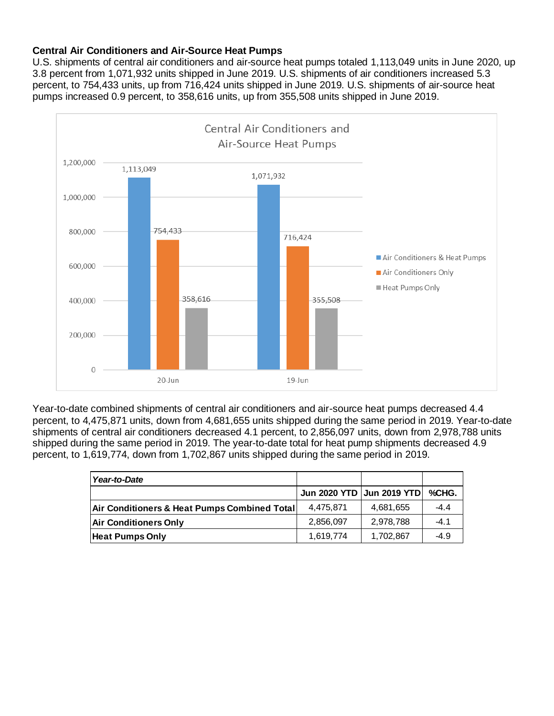# **Central Air Conditioners and Air-Source Heat Pumps**

U.S. shipments of central air conditioners and air-source heat pumps totaled 1,113,049 units in June 2020, up 3.8 percent from 1,071,932 units shipped in June 2019. U.S. shipments of air conditioners increased 5.3 percent, to 754,433 units, up from 716,424 units shipped in June 2019. U.S. shipments of air-source heat pumps increased 0.9 percent, to 358,616 units, up from 355,508 units shipped in June 2019.



Year-to-date combined shipments of central air conditioners and air-source heat pumps decreased 4.4 percent, to 4,475,871 units, down from 4,681,655 units shipped during the same period in 2019. Year-to-date shipments of central air conditioners decreased 4.1 percent, to 2,856,097 units, down from 2,978,788 units shipped during the same period in 2019. The year-to-date total for heat pump shipments decreased 4.9 percent, to 1,619,774, down from 1,702,867 units shipped during the same period in 2019.

| Year-to-Date                                 |                             |           |        |
|----------------------------------------------|-----------------------------|-----------|--------|
|                                              | Jun 2020 YTD   Jun 2019 YTD |           | %CHG.  |
| Air Conditioners & Heat Pumps Combined Total | 4.475.871                   | 4,681,655 | $-4.4$ |
| <b>Air Conditioners Only</b>                 | 2,856,097                   | 2,978,788 | $-4.1$ |
| <b>Heat Pumps Only</b>                       | 1,619,774                   | 1,702,867 | $-4.9$ |